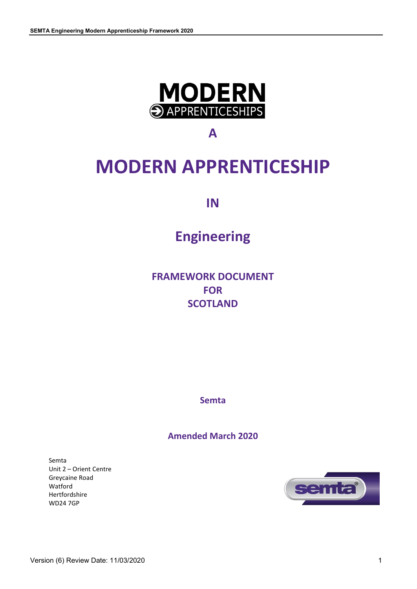

## **A**

# **MODERN APPRENTICESHIP**

**IN**

# **Engineering**

# **FRAMEWORK DOCUMENT FOR SCOTLAND**

**Semta**

**Amended March 2020**

Semta Unit 2 – Orient Centre Greycaine Road Watford Hertfordshire WD24 7GP

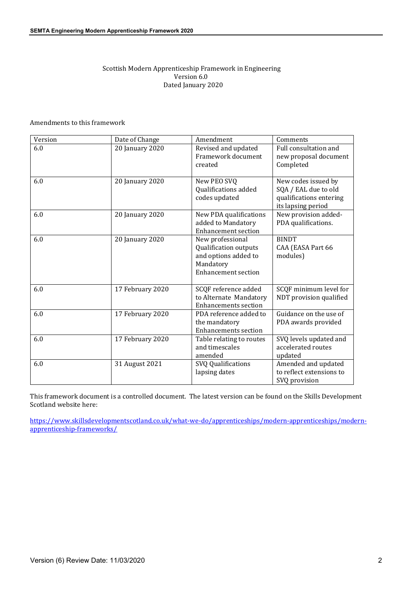#### Scottish Modern Apprenticeship Framework in Engineering Version 6.0 Dated January 2020

#### Amendments to this framework

| Version | Date of Change   | Amendment                               | Comments                                        |
|---------|------------------|-----------------------------------------|-------------------------------------------------|
| 6.0     | 20 January 2020  | Revised and updated                     | Full consultation and                           |
|         |                  | Framework document                      | new proposal document                           |
|         |                  | created                                 | Completed                                       |
| 6.0     | 20 January 2020  | New PEO SVQ                             | New codes issued by                             |
|         |                  | Qualifications added                    | SQA / EAL due to old                            |
|         |                  | codes updated                           | qualifications entering<br>its lapsing period   |
| 6.0     | 20 January 2020  | New PDA qualifications                  | New provision added-                            |
|         |                  | added to Mandatory                      | PDA qualifications.                             |
|         |                  | <b>Enhancement section</b>              |                                                 |
| 6.0     | 20 January 2020  | New professional                        | <b>BINDT</b>                                    |
|         |                  | Qualification outputs                   | CAA (EASA Part 66                               |
|         |                  | and options added to                    | modules)                                        |
|         |                  | Mandatory<br><b>Enhancement section</b> |                                                 |
|         |                  |                                         |                                                 |
| 6.0     | 17 February 2020 | SCQF reference added                    | SCQF minimum level for                          |
|         |                  | to Alternate Mandatory                  | NDT provision qualified                         |
|         |                  | <b>Enhancements section</b>             |                                                 |
| 6.0     | 17 February 2020 | PDA reference added to                  | Guidance on the use of                          |
|         |                  | the mandatory                           | PDA awards provided                             |
|         |                  | <b>Enhancements section</b>             |                                                 |
| 6.0     | 17 February 2020 | Table relating to routes                | SVQ levels updated and                          |
|         |                  | and timescales                          | accelerated routes                              |
|         |                  | amended                                 | updated                                         |
| 6.0     | 31 August 2021   | <b>SVQ Qualifications</b>               | Amended and updated<br>to reflect extensions to |
|         |                  | lapsing dates                           |                                                 |
|         |                  |                                         | SVQ provision                                   |

This framework document is a controlled document. The latest version can be found on the Skills Development Scotland website here:

[https://www.skillsdevelopmentscotland.co.uk/what-we-do/apprenticeships/modern-apprenticeships/modern](https://www.skillsdevelopmentscotland.co.uk/what-we-do/apprenticeships/modern-apprenticeships/modern-apprenticeship-frameworks/)[apprenticeship-frameworks/](https://www.skillsdevelopmentscotland.co.uk/what-we-do/apprenticeships/modern-apprenticeships/modern-apprenticeship-frameworks/)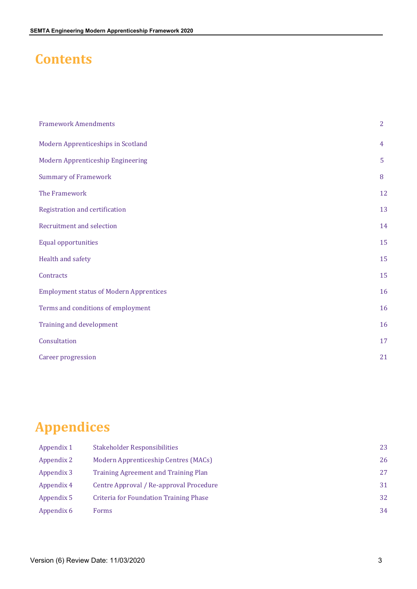# **Contents**

| <b>Framework Amendments</b>                    | $\overline{2}$ |
|------------------------------------------------|----------------|
| Modern Apprenticeships in Scotland             | $\overline{4}$ |
| Modern Apprenticeship Engineering              | 5              |
| <b>Summary of Framework</b>                    | 8              |
| The Framework                                  | 12             |
| Registration and certification                 | 13             |
| Recruitment and selection                      | 14             |
| <b>Equal opportunities</b>                     | 15             |
| Health and safety                              | 15             |
| Contracts                                      | 15             |
| <b>Employment status of Modern Apprentices</b> | 16             |
| Terms and conditions of employment             | 16             |
| Training and development                       | 16             |
| Consultation                                   | 17             |
| <b>Career progression</b>                      | 21             |

# **Appendices**

| Appendix 1 | <b>Stakeholder Responsibilities</b>           | 23 |
|------------|-----------------------------------------------|----|
| Appendix 2 | Modern Apprenticeship Centres (MACs)          | 26 |
| Appendix 3 | <b>Training Agreement and Training Plan</b>   | 27 |
| Appendix 4 | Centre Approval / Re-approval Procedure       | 31 |
| Appendix 5 | <b>Criteria for Foundation Training Phase</b> | 32 |
| Appendix 6 | Forms                                         | 34 |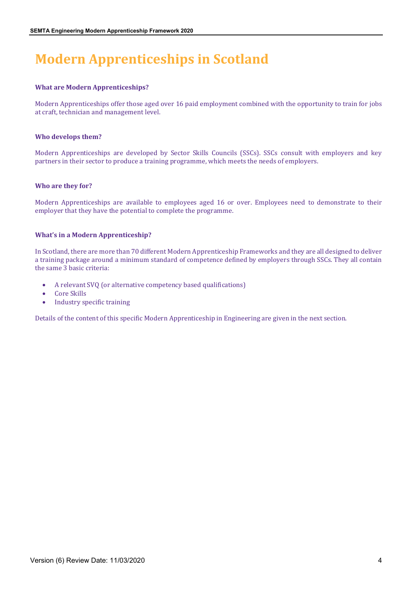# **Modern Apprenticeships in Scotland**

#### **What are Modern Apprenticeships?**

Modern Apprenticeships offer those aged over 16 paid employment combined with the opportunity to train for jobs at craft, technician and management level.

#### **Who develops them?**

Modern Apprenticeships are developed by Sector Skills Councils (SSCs). SSCs consult with employers and key partners in their sector to produce a training programme, which meets the needs of employers.

#### **Who are they for?**

Modern Apprenticeships are available to employees aged 16 or over. Employees need to demonstrate to their employer that they have the potential to complete the programme.

#### **What's in a Modern Apprenticeship?**

In Scotland, there are more than 70 different Modern Apprenticeship Frameworks and they are all designed to deliver a training package around a minimum standard of competence defined by employers through SSCs. They all contain the same 3 basic criteria:

- A relevant SVQ (or alternative competency based qualifications)
- Core Skills<br>• Industry sp
- Industry specific training

Details of the content of this specific Modern Apprenticeship in Engineering are given in the next section.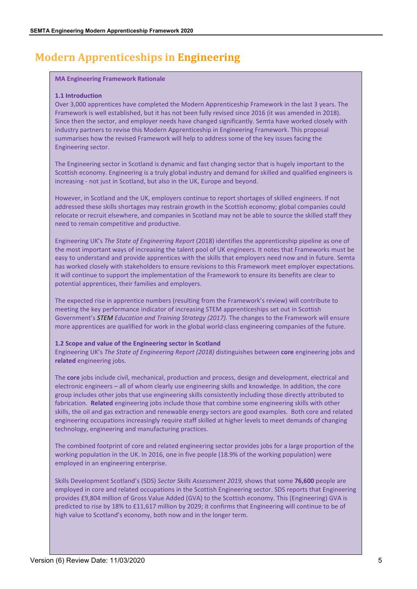# **Modern Apprenticeships in Engineering**

#### **MA Engineering Framework Rationale**

#### **1.1 Introduction**

Over 3,000 apprentices have completed the Modern Apprenticeship Framework in the last 3 years. The Framework is well established, but it has not been fully revised since 2016 (it was amended in 2018). Since then the sector, and employer needs have changed significantly. Semta have worked closely with industry partners to revise this Modern Apprenticeship in Engineering Framework. This proposal summarises how the revised Framework will help to address some of the key issues facing the Engineering sector.

The Engineering sector in Scotland is dynamic and fast changing sector that is hugely important to the Scottish economy. Engineering is a truly global industry and demand for skilled and qualified engineers is increasing - not just in Scotland, but also in the UK, Europe and beyond.

However, in Scotland and the UK, employers continue to report shortages of skilled engineers. If not addressed these skills shortages may restrain growth in the Scottish economy; global companies could relocate or recruit elsewhere, and companies in Scotland may not be able to source the skilled staff they need to remain competitive and productive.

Engineering UK's *The State of Engineering Report* (2018) identifies the apprenticeship pipeline as one of the most important ways of increasing the talent pool of UK engineers. It notes that Frameworks must be easy to understand and provide apprentices with the skills that employers need now and in future. Semta has worked closely with stakeholders to ensure revisions to this Framework meet employer expectations. It will continue to support the implementation of the Framework to ensure its benefits are clear to potential apprentices, their families and employers.

The expected rise in apprentice numbers (resulting from the Framework's review) will contribute to meeting the key performance indicator of increasing STEM apprenticeships set out in Scottish Government's *STEM Education and Training Strategy (2017).* The changes to the Framework will ensure more apprentices are qualified for work in the global world-class engineering companies of the future.

#### **1.2 Scope and value of the Engineering sector in Scotland**

Engineering UK's *The State of Engineering Report (2018)* distinguishes between **core** engineering jobs and **related** engineering jobs.

The **core** jobs include civil, mechanical, production and process, design and development, electrical and electronic engineers – all of whom clearly use engineering skills and knowledge. In addition, the core group includes other jobs that use engineering skills consistently including those directly attributed to fabrication. **Related** engineering jobs include those that combine some engineering skills with other skills, the oil and gas extraction and renewable energy sectors are good examples. Both core and related engineering occupations increasingly require staff skilled at higher levels to meet demands of changing technology, engineering and manufacturing practices.

The combined footprint of core and related engineering sector provides jobs for a large proportion of the working population in the UK. In 2016, one in five people (18.9% of the working population) were employed in an engineering enterprise.

Skills Development Scotland's (SDS) *Sector Skills Assessment 2019,* shows that some **76,600** people are employed in core and related occupations in the Scottish Engineering sector. SDS reports that Engineering provides £9,804 million of Gross Value Added (GVA) to the Scottish economy. This (Engineering) GVA is predicted to rise by 18% to £11,617 million by 2029; it confirms that Engineering will continue to be of high value to Scotland's economy, both now and in the longer term.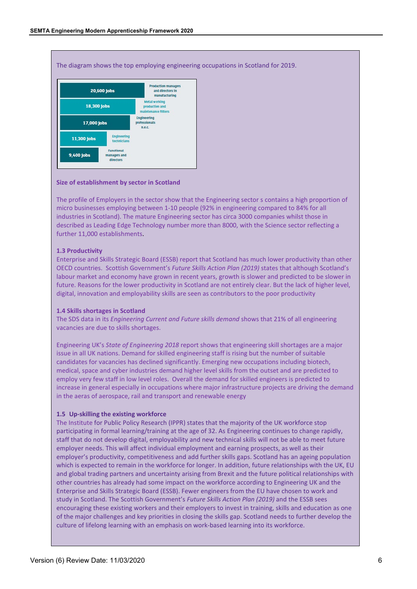The diagram shows the top employing engineering occupations in Scotland for 2019.



#### **Size of establishment by sector in Scotland**

The profile of Employers in the sector show that the Engineering sector s contains a high proportion of micro businesses employing between 1-10 people (92% in engineering compared to 84% for all industries in Scotland). The mature Engineering sector has circa 3000 companies whilst those in described as Leading Edge Technology number more than 8000, with the Science sector reflecting a further 11,000 establishments.

#### **1.3 Productivity**

Enterprise and Skills Strategic Board (ESSB) report that Scotland has much lower productivity than other OECD countries. Scottish Government's *Future Skills Action Plan (2019)* states that although Scotland's labour market and economy have grown in recent years, growth is slower and predicted to be slower in future. Reasons for the lower productivity in Scotland are not entirely clear. But the lack of higher level, digital, innovation and employability skills are seen as contributors to the poor productivity

#### **1.4 Skills shortages in Scotland**

The SDS data in its *Engineering Current and Future skills demand* shows that 21% of all engineering vacancies are due to skills shortages.

Engineering UK's *State of Engineering 2018* report shows that engineering skill shortages are a major issue in all UK nations. Demand for skilled engineering staff is rising but the number of suitable candidates for vacancies has declined significantly. Emerging new occupations including biotech, medical, space and cyber industries demand higher level skills from the outset and are predicted to employ very few staff in low level roles. Overall the demand for skilled engineers is predicted to increase in general especially in occupations where major infrastructure projects are driving the demand in the aeras of aerospace, rail and transport and renewable energy

#### **1.5 Up-skilling the existing workforce**

The Institute for Public Policy Research (IPPR) states that the majority of the UK workforce stop participating in formal learning/training at the age of 32. As Engineering continues to change rapidly, staff that do not develop digital, employability and new technical skills will not be able to meet future employer needs. This will affect individual employment and earning prospects, as well as their employer's productivity, competitiveness and add further skills gaps. Scotland has an ageing population which is expected to remain in the workforce for longer. In addition, future relationships with the UK, EU and global trading partners and uncertainty arising from Brexit and the future political relationships with other countries has already had some impact on the workforce according to Engineering UK and the Enterprise and Skills Strategic Board (ESSB). Fewer engineers from the EU have chosen to work and study in Scotland. The Scottish Government's *Future Skills Action Plan (2019)* and the ESSB sees encouraging these existing workers and their employers to invest in training, skills and education as one of the major challenges and key priorities in closing the skills gap. Scotland needs to further develop the culture of lifelong learning with an emphasis on work-based learning into its workforce.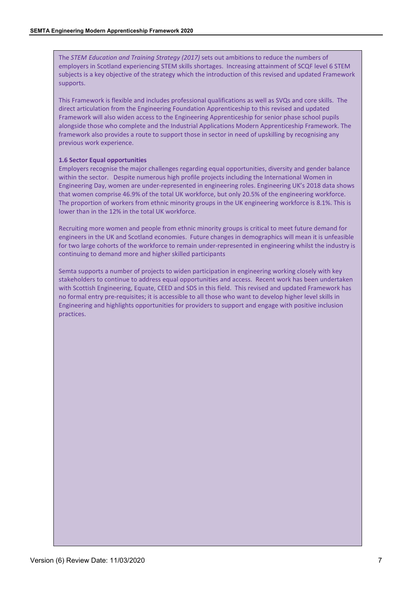The *STEM Education and Training Strategy (2017)* sets out ambitions to reduce the numbers of employers in Scotland experiencing STEM skills shortages. Increasing attainment of SCQF level 6 STEM subjects is a key objective of the strategy which the introduction of this revised and updated Framework supports.

This Framework is flexible and includes professional qualifications as well as SVQs and core skills. The direct articulation from the Engineering Foundation Apprenticeship to this revised and updated Framework will also widen access to the Engineering Apprenticeship for senior phase school pupils alongside those who complete and the Industrial Applications Modern Apprenticeship Framework. The framework also provides a route to support those in sector in need of upskilling by recognising any previous work experience.

#### **1.6 Sector Equal opportunities**

Employers recognise the major challenges regarding equal opportunities, diversity and gender balance within the sector. Despite numerous high profile projects including the International Women in Engineering Day, women are under-represented in engineering roles. Engineering UK's 2018 data shows that women comprise 46.9% of the total UK workforce, but only 20.5% of the engineering workforce. The proportion of workers from ethnic minority groups in the UK engineering workforce is 8.1%. This is lower than in the 12% in the total UK workforce.

Recruiting more women and people from ethnic minority groups is critical to meet future demand for engineers in the UK and Scotland economies. Future changes in demographics will mean it is unfeasible for two large cohorts of the workforce to remain under-represented in engineering whilst the industry is continuing to demand more and higher skilled participants

Semta supports a number of projects to widen participation in engineering working closely with key stakeholders to continue to address equal opportunities and access. Recent work has been undertaken with Scottish Engineering, Equate, CEED and SDS in this field. This revised and updated Framework has no formal entry pre-requisites; it is accessible to all those who want to develop higher level skills in Engineering and highlights opportunities for providers to support and engage with positive inclusion practices.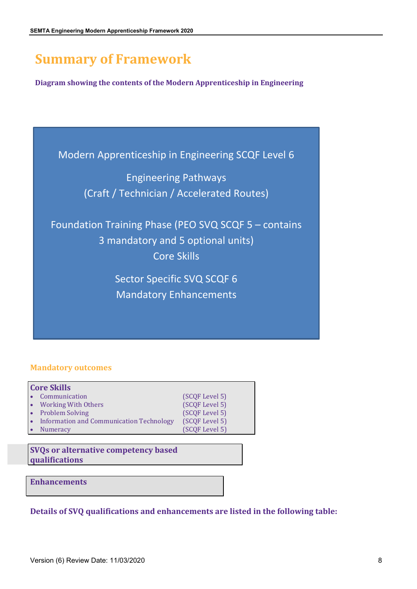# **Summary of Framework**

**Diagram showing the contents of the Modern Apprenticeship in Engineering** 

Modern Apprenticeship in Engineering SCQF Level 6

Engineering Pathways (Craft / Technician / Accelerated Routes)

Foundation Training Phase (PEO SVQ SCQF 5 – contains 3 mandatory and 5 optional units) Core Skills

> Sector Specific SVQ SCQF 6 Mandatory Enhancements

## **Mandatory outcomes**

| <b>Core Skills</b> |                                          |                |  |
|--------------------|------------------------------------------|----------------|--|
| $\bullet$          | Communication                            | (SCQF Level 5) |  |
|                    | • Working With Others                    | (SCQF Level 5) |  |
|                    | • Problem Solving                        | (SCQF Level 5) |  |
| $\bullet$          | Information and Communication Technology | (SCQF Level 5) |  |
|                    | Numeracy                                 | (SCQF Level 5) |  |

**SVQs or alternative competency based qualifications**

**Enhancements**

**Details of SVQ qualifications and enhancements are listed in the following table:**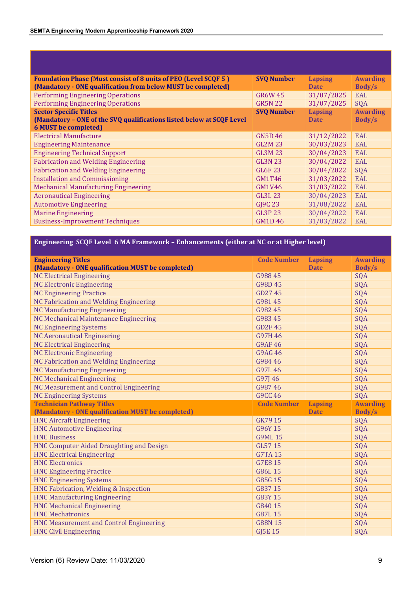| <b>Foundation Phase (Must consist of 8 units of PEO (Level SCQF 5)</b> | <b>SVO Number</b> | <b>Lapsing</b> | <b>Awarding</b> |
|------------------------------------------------------------------------|-------------------|----------------|-----------------|
| (Mandatory - ONE qualification from below MUST be completed)           |                   | <b>Date</b>    | Body/s          |
| <b>Performing Engineering Operations</b>                               | <b>GR6W 45</b>    | 31/07/2025     | <b>EAL</b>      |
| <b>Performing Engineering Operations</b>                               | <b>GR5N 22</b>    | 31/07/2025     | SQA             |
| <b>Sector Specific Titles</b>                                          | <b>SVQ Number</b> | <b>Lapsing</b> | <b>Awarding</b> |
| (Mandatory - ONE of the SVQ qualifications listed below at SCQF Level  |                   | <b>Date</b>    | <b>Body/s</b>   |
| <b>6 MUST be completed)</b>                                            |                   |                |                 |
| <b>Electrical Manufacture</b>                                          | <b>GN5D46</b>     | 31/12/2022     | <b>EAL</b>      |
| <b>Engineering Maintenance</b>                                         | <b>GL2M 23</b>    | 30/03/2023     | <b>EAL</b>      |
| <b>Engineering Technical Support</b>                                   | <b>GL3M23</b>     | 30/04/2023     | EAL             |
| <b>Fabrication and Welding Engineering</b>                             | <b>GL3N 23</b>    | 30/04/2022     | <b>EAL</b>      |
| <b>Fabrication and Welding Engineering</b>                             | <b>GL6F 23</b>    | 30/04/2022     | <b>SQA</b>      |
| <b>Installation and Commissioning</b>                                  | GM1T46            | 31/03/2022     | <b>EAL</b>      |
| <b>Mechanical Manufacturing Engineering</b>                            | GM1V46            | 31/03/2022     | EAL             |
| <b>Aeronautical Engineering</b>                                        | GL3L 23           | 30/04/2023     | EAL             |
| <b>Automotive Engineering</b>                                          | GJ9C 23           | 31/08/2022     | EAL             |
| <b>Marine Engineering</b>                                              | GL3P 23           | 30/04/2022     | <b>EAL</b>      |
| <b>Business-Improvement Techniques</b>                                 | GM1D46            | 31/03/2022     | <b>EAL</b>      |
|                                                                        |                   |                |                 |

## **Engineering SCQF Level 6 MA Framework – Enhancements (either at NC or at Higher level)**

| <b>Engineering Titles</b>                         | <b>Code Number</b> | <b>Lapsing</b> | <b>Awarding</b> |
|---------------------------------------------------|--------------------|----------------|-----------------|
| (Mandatory - ONE qualification MUST be completed) |                    | <b>Date</b>    | <b>Body/s</b>   |
| <b>NC Electrical Engineering</b>                  | G988 45            |                | SQA             |
| <b>NC Electronic Engineering</b>                  | G98D 45            |                | SQA             |
| <b>NC Engineering Practice</b>                    | GD2745             |                | SQA             |
| NC Fabrication and Welding Engineering            | G981 45            |                | SQA             |
| <b>NC Manufacturing Engineering</b>               | G982 45            |                | SQA             |
| NC Mechanical Maintenance Engineering             | G983 45            |                | SQA             |
| <b>NC Engineering Systems</b>                     | <b>GD2F45</b>      |                | SQA             |
| <b>NC Aeronautical Engineering</b>                | G97H 46            |                | SQA             |
| <b>NC Electrical Engineering</b>                  | <b>G9AF46</b>      |                | SQA             |
| <b>NC Electronic Engineering</b>                  | G9AG 46            |                | SQA             |
| NC Fabrication and Welding Engineering            | G984 46            |                | SQA             |
| <b>NC Manufacturing Engineering</b>               | G97L 46            |                | SQA             |
| <b>NC Mechanical Engineering</b>                  | G97J 46            |                | SQA             |
| NC Measurement and Control Engineering            | G98746             |                | SQA             |
| <b>NC Engineering Systems</b>                     | G9CC 46            |                | SQA             |
| <b>Technician Pathway Titles</b>                  | <b>Code Number</b> | <b>Lapsing</b> | <b>Awarding</b> |
| (Mandatory - ONE qualification MUST be completed) |                    | <b>Date</b>    | <b>Body/s</b>   |
| <b>HNC Aircraft Engineering</b>                   | GK79 15            |                | SQA             |
| <b>HNC Automotive Engineering</b>                 | G96Y 15            |                | SQA             |
| <b>HNC Business</b>                               | <b>G9ML15</b>      |                | SQA             |
| HNC Computer Aided Draughting and Design          | GL57 15            |                | SQA             |
| <b>HNC Electrical Engineering</b>                 | <b>G7TA15</b>      |                | SQA             |
| <b>HNC Electronics</b>                            | G7E8 15            |                | SQA             |
| <b>HNC Engineering Practice</b>                   | G86L15             |                | SQA             |
| <b>HNC Engineering Systems</b>                    | G85G 15            |                | SQA             |
| HNC Fabrication, Welding & Inspection             | G83715             |                | SQA             |
| <b>HNC Manufacturing Engineering</b>              | G83Y 15            |                | SQA             |
| <b>HNC Mechanical Engineering</b>                 | G840 15            |                | SQA             |
| <b>HNC Mechatronics</b>                           | G87L 15            |                | SQA             |
| HNC Measurement and Control Engineering           | <b>G88N 15</b>     |                | SQA             |
| <b>HNC Civil Engineering</b>                      | <b>GJ5E 15</b>     |                | SQA             |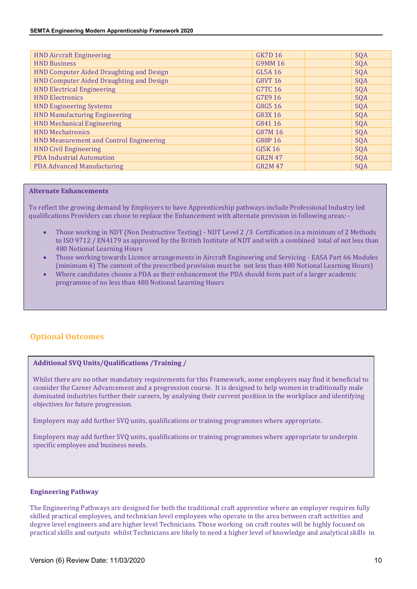#### **SEMTA Engineering Modern Apprenticeship Framework 2020**

| <b>HND Aircraft Engineering</b>                | <b>GK7D 16</b> | SQA        |
|------------------------------------------------|----------------|------------|
| <b>HND Business</b>                            | <b>G9MM 16</b> | SQA        |
| HND Computer Aided Draughting and Design       | GL5A 16        | <b>SQA</b> |
| HND Computer Aided Draughting and Design       | G8VT 16        | <b>SQA</b> |
| <b>HND Electrical Engineering</b>              | G7TC 16        | <b>SQA</b> |
| <b>HND Electronics</b>                         | G7E9 16        | <b>SQA</b> |
| <b>HND Engineering Systems</b>                 | G8G5 16        | SQA        |
| <b>HND Manufacturing Engineering</b>           | G83X 16        | <b>SQA</b> |
| <b>HND Mechanical Engineering</b>              | G841 16        | <b>SQA</b> |
| <b>HND Mechatronics</b>                        | G87M 16        | <b>SQA</b> |
| <b>HND Measurement and Control Engineering</b> | G88P 16        | <b>SQA</b> |
| <b>HND Civil Engineering</b>                   | GJ5K 16        | <b>SQA</b> |
| <b>PDA Industrial Automation</b>               | <b>GR2N 47</b> | <b>SQA</b> |
| <b>PDA Advanced Manufacturing</b>              | <b>GR2M 47</b> | <b>SQA</b> |
|                                                |                |            |

#### **Alternate Enhancements**

To reflect the growing demand by Employers to have Apprenticeship pathways include Professional Industry led qualifications Providers can chose to replace the Enhancement with alternate provision in following areas: -

- Those working in NDT (Non Destructive Testing) NDT Level 2 /3 Certification in a minimum of 2 Methods to ISO 9712 / EN4179 as approved by the British Institute of NDT and with a combined total of not less than 480 Notional Learning Hours
- Those working towards Licence arrangements in Aircraft Engineering and Servicing EASA Part 66 Modules (minimum 4) The content of the prescribed provision must be not less than 480 Notional Learning Hours)
- Where candidates choose a PDA as their enhancement the PDA should form part of a larger academic programme of no less than 480 Notional Learning Hours

### **Optional Outcomes**

#### **Additional SVQ Units/Qualifications /Training /**

Whilst there are no other mandatory requirements for this Framework, some employers may find it beneficial to consider the Career Advancement and a progression course. It is designed to help women in traditionally male dominated industries further their careers, by analysing their current position in the workplace and identifying objectives for future progression.

Employers may add further SVQ units, qualifications or training programmes where appropriate.

Employers may add further SVQ units, qualifications or training programmes where appropriate to underpin specific employee and business needs.

#### **Engineering Pathway**

The Engineering Pathways are designed for both the traditional craft apprentice where an employer requires fully skilled practical employees, and technician level employees who operate in the area between craft activities and degree level engineers and are higher level Technicians. Those working on craft routes will be highly focused on practical skills and outputs whilst Technicians are likely to need a higher level of knowledge and analytical skills in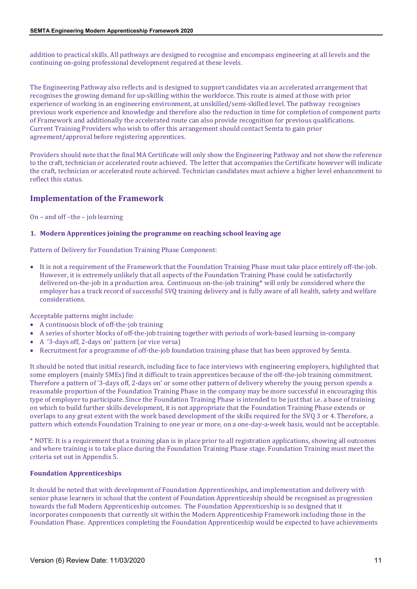addition to practical skills. All pathways are designed to recognise and encompass engineering at all levels and the continuing on-going professional development required at these levels.

The Engineering Pathway also reflects and is designed to support candidates via an accelerated arrangement that recognises the growing demand for up-skilling within the workforce. This route is aimed at those with prior experience of working in an engineering environment, at unskilled/semi-skilled level. The pathway recognises previous work experience and knowledge and therefore also the reduction in time for completion of component parts of Framework and additionally the accelerated route can also provide recognition for previous qualifications. Current Training Providers who wish to offer this arrangement should contact Semta to gain prior agreement/approval before registering apprentices.

Providers should note that the final MA Certificate will only show the Engineering Pathway and not show the reference to the craft, technician or accelerated route achieved. The letter that accompanies the Certificate however will indicate the craft, technician or accelerated route achieved. Technician candidates must achieve a higher level enhancement to reflect this status.

### **Implementation of the Framework**

On – and off –the – job learning

#### **1. Modern Apprentices joining the programme on reaching school leaving age**

Pattern of Delivery for Foundation Training Phase Component:

• It is not a requirement of the Framework that the Foundation Training Phase must take place entirely off-the-job. However, it is extremely unlikely that all aspects of the Foundation Training Phase could be satisfactorily delivered on-the-job in a production area. Continuous on-the-job training\* will only be considered where the employer has a track record of successful SVQ training delivery and is fully aware of all health, safety and welfare considerations.

Acceptable patterns might include:

- A continuous block of off-the-job training
- A series of shorter blocks of off-the-job training together with periods of work-based learning in-company
- A '3-days off, 2-days on' pattern (or vice versa)
- Recruitment for a programme of off-the-job foundation training phase that has been approved by Semta.

It should be noted that initial research, including face to face interviews with engineering employers, highlighted that some employers (mainly SMEs) find it difficult to train apprentices because of the off-the-job training commitment. Therefore a pattern of '3-days off, 2-days on' or some other pattern of delivery whereby the young person spends a reasonable proportion of the Foundation Training Phase in the company may be more successful in encouraging this type of employer to participate. Since the Foundation Training Phase is intended to be just that i.e. a base of training on which to build further skills development, it is not appropriate that the Foundation Training Phase extends or overlaps to any great extent with the work based development of the skills required for the SVQ 3 or 4. Therefore, a pattern which extends Foundation Training to one year or more, on a one-day-a-week basis, would not be acceptable.

\* NOTE: It is a requirement that a training plan is in place prior to all registration applications, showing all outcomes and where training is to take place during the Foundation Training Phase stage. Foundation Training must meet the criteria set out in Appendix 5.

#### **Foundation Apprenticeships**

It should be noted that with development of Foundation Apprenticeships, and implementation and delivery with senior phase learners in school that the content of Foundation Apprenticeship should be recognised as progression towards the full Modern Apprenticeship outcomes. The Foundation Apprenticeship is so designed that it incorporates components that currently sit within the Modern Apprenticeship Framework including those in the Foundation Phase. Apprentices completing the Foundation Apprenticeship would be expected to have achievements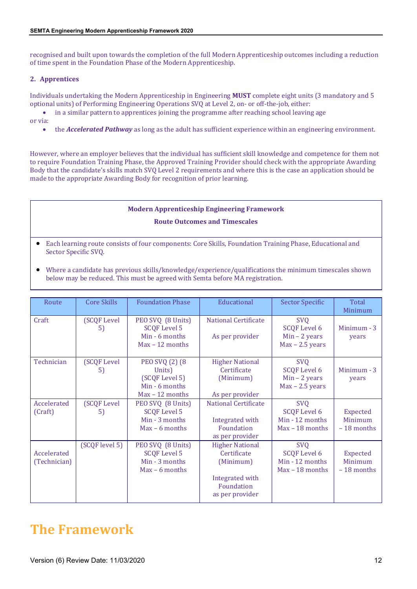recognised and built upon towards the completion of the full Modern Apprenticeship outcomes including a reduction of time spent in the Foundation Phase of the Modern Apprenticeship.

#### **2. Apprentices**

Individuals undertaking the Modern Apprenticeship in Engineering **MUST** complete eight units (3 mandatory and 5 optional units) of Performing Engineering Operations SVQ at Level 2, on- or off-the-job, either:

- in a similar pattern to apprentices joining the programme after reaching school leaving age
- or via:
	- the *Accelerated Pathway* as long as the adult has sufficient experience within an engineering environment.

However, where an employer believes that the individual has sufficient skill knowledge and competence for them not to require Foundation Training Phase, the Approved Training Provider should check with the appropriate Awarding Body that the candidate's skills match SVQ Level 2 requirements and where this is the case an application should be made to the appropriate Awarding Body for recognition of prior learning.

## **Modern Apprenticeship Engineering Framework**

#### **Route Outcomes and Timescales**

- Each learning route consists of four components: Core Skills, Foundation Training Phase, Educational and Sector Specific SVQ.
- Where a candidate has previous skills/knowledge/experience/qualifications the minimum timescales shown below may be reduced. This must be agreed with Semta before MA registration.

| Route                       | <b>Core Skills</b> | <b>Foundation Phase</b>                                                          | Educational                                                                                            | <b>Sector Specific</b>                                                    | Total<br>Minimum                    |
|-----------------------------|--------------------|----------------------------------------------------------------------------------|--------------------------------------------------------------------------------------------------------|---------------------------------------------------------------------------|-------------------------------------|
| Craft                       | (SCQF Level<br>5)  | PEO SVQ (8 Units)<br><b>SCQF Level 5</b><br>Min - 6 months<br>$Max - 12$ months  | <b>National Certificate</b><br>As per provider                                                         | <b>SVQ</b><br><b>SCQF</b> Level 6<br>$Min - 2 years$<br>$Max - 2.5$ years | Minimum $-3$<br>vears               |
| Technician                  | (SCQF Level<br>5)  | PEO SVQ (2) (8)<br>Units)<br>(SCQF Level 5)<br>Min - 6 months<br>Max - 12 months | <b>Higher National</b><br>Certificate<br>(Minimum)<br>As per provider                                  | <b>SVQ</b><br><b>SCQF</b> Level 6<br>$Min - 2 years$<br>$Max - 2.5$ years | Minimum $-3$<br>years               |
| Accelerated<br>(Craft)      | (SCQF Level<br>5)  | PEO SVQ (8 Units)<br><b>SCQF Level 5</b><br>Min - 3 months<br>$Max - 6$ months   | <b>National Certificate</b><br>Integrated with<br>Foundation<br>as per provider                        | <b>SVQ</b><br><b>SCQF</b> Level 6<br>Min - 12 months<br>$Max - 18$ months | Expected<br>Minimum<br>$-18$ months |
| Accelerated<br>(Technician) | (SCQF level 5)     | PEO SVQ (8 Units)<br><b>SCQF Level 5</b><br>Min - 3 months<br>$Max - 6$ months   | <b>Higher National</b><br>Certificate<br>(Minimum)<br>Integrated with<br>Foundation<br>as per provider | <b>SVQ</b><br><b>SCQF</b> Level 6<br>Min - 12 months<br>$Max - 18$ months | Expected<br>Minimum<br>$-18$ months |

# **The Framework**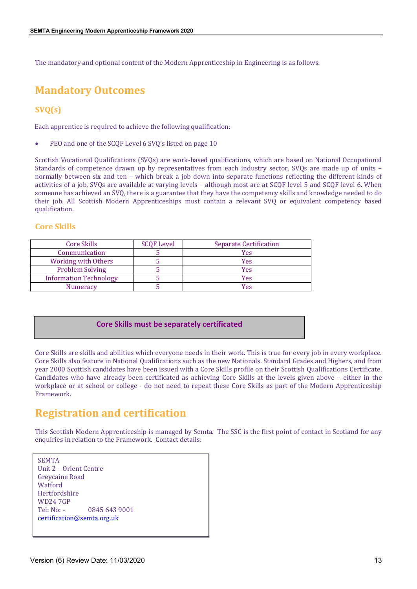The mandatory and optional content of the Modern Apprenticeship in Engineering is as follows:

## **Mandatory Outcomes**

## **SVQ(s)**

Each apprentice is required to achieve the following qualification:

• PEO and one of the SCQF Level 6 SVQ's listed on page 10

Scottish Vocational Qualifications (SVQs) are work-based qualifications, which are based on National Occupational Standards of competence drawn up by representatives from each industry sector. SVQs are made up of units – normally between six and ten – which break a job down into separate functions reflecting the different kinds of activities of a job. SVQs are available at varying levels – although most are at SCQF level 5 and SCQF level 6. When someone has achieved an SVQ, there is a guarantee that they have the competency skills and knowledge needed to do their job. All Scottish Modern Apprenticeships must contain a relevant SVQ or equivalent competency based qualification.

#### **Core Skills**

| Core Skills                   | <b>SCQF Level</b> | <b>Separate Certification</b> |
|-------------------------------|-------------------|-------------------------------|
| Communication                 |                   | Yes                           |
| <b>Working with Others</b>    |                   | Yes                           |
| <b>Problem Solving</b>        |                   | Yes                           |
| <b>Information Technology</b> |                   | Yes                           |
| <b>Numeracy</b>               |                   | Yes                           |

#### **Core Skills must be separately certificated**

Core Skills are skills and abilities which everyone needs in their work. This is true for every job in every workplace. Core Skills also feature in National Qualifications such as the new Nationals. Standard Grades and Highers, and from year 2000 Scottish candidates have been issued with a Core Skills profile on their Scottish Qualifications Certificate. Candidates who have already been certificated as achieving Core Skills at the levels given above – either in the workplace or at school or college - do not need to repeat these Core Skills as part of the Modern Apprenticeship Framework.

## **Registration and certification**

This Scottish Modern Apprenticeship is managed by Semta. The SSC is the first point of contact in Scotland for any enquiries in relation to the Framework. Contact details:

**SEMTA** Unit 2 – Orient Centre Greycaine Road Watford Hertfordshire  $WD247GP$ <br>Tel:  $No:$ 0845 643 9001 [certification@semta.org.uk](mailto:certification@semta.org.uk)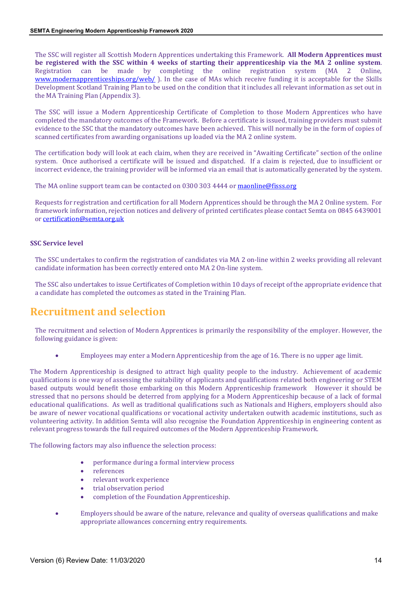The SSC will register all Scottish Modern Apprentices undertaking this Framework. **All Modern Apprentices must be registered with the SSC within 4 weeks of starting their apprenticeship via the MA 2 online system**.<br>Registration can be made by completing the online registration system (MA 2 Online, Registration can be made by completing the  $\theta$ [www.modernapprenticeships.org/web/](http://www.modernapprenticeships.org/web/) ). In the case of MAs which receive funding it is acceptable for the Skills Development Scotland Training Plan to be used on the condition that it includes all relevant information as set out in the MA Training Plan (Appendix 3).

The SSC will issue a Modern Apprenticeship Certificate of Completion to those Modern Apprentices who have completed the mandatory outcomes of the Framework. Before a certificate is issued, training providers must submit evidence to the SSC that the mandatory outcomes have been achieved. This will normally be in the form of copies of scanned certificates from awarding organisations up loaded via the MA 2 online system.

The certification body will look at each claim, when they are received in "Awaiting Certificate" section of the online system. Once authorised a certificate will be issued and dispatched. If a claim is rejected, due to insufficient or incorrect evidence, the training provider will be informed via an email that is automatically generated by the system.

The MA online support team can be contacted on 0300 303 4444 or [maonline@fisss.org](file:///C:%5CUsers%5Cpaul.turnbull%5CAppData%5CLocal%5CAppData%5CLocal%5CMicrosoft%5CWindows%5CTemporary%20Internet%20Files%5CAppData%5CLocal%5CMicrosoft%5CWindows%5CTemporary%20Internet%20Files%5CAppData%5CLocal%5CMicrosoft%5CWindows%5Cpaul.turnbull%5CAppData%5CLocal%5CAppData%5CLocal%5CMicrosoft%5CWindows%5CAppData%5CLocal%5CMicrosoft%5CAppData%5CLocal%5CMicrosoft%5CWindows%5CTemporary%20Internet%20Files%5CAppData%5CLocal%5CMicrosoft%5CWindows%5CAppData%5CLocal%5CMicrosoft%5CWindows%5CTemporary%20Internet%20Files%5CContent.Outlook%5C5BMOLMQX%5Cmaonline@fisss.org)

Requests for registration and certification for all Modern Apprentices should be through the MA 2 Online system. For framework information, rejection notices and delivery of printed certificates please contact Semta on 0845 6439001 or [certification@semta.org.uk](mailto:certification@semta.org.uk)

#### **SSC Service level**

The SSC undertakes to confirm the registration of candidates via MA 2 on-line within 2 weeks providing all relevant candidate information has been correctly entered onto MA 2 On-line system.

The SSC also undertakes to issue Certificates of Completion within 10 days of receipt of the appropriate evidence that a candidate has completed the outcomes as stated in the Training Plan.

## **Recruitment and selection**

The recruitment and selection of Modern Apprentices is primarily the responsibility of the employer. However, the following guidance is given:

• Employees may enter a Modern Apprenticeship from the age of 16. There is no upper age limit.

The Modern Apprenticeship is designed to attract high quality people to the industry. Achievement of academic qualifications is one way of assessing the suitability of applicants and qualifications related both engineering or STEM based outputs would benefit those embarking on this Modern Apprenticeship framework However it should be stressed that no persons should be deterred from applying for a Modern Apprenticeship because of a lack of formal educational qualifications. As well as traditional qualifications such as Nationals and Highers, employers should also be aware of newer vocational qualifications or vocational activity undertaken outwith academic institutions, such as volunteering activity. In addition Semta will also recognise the Foundation Apprenticeship in engineering content as relevant progress towards the full required outcomes of the Modern Apprenticeship Framework.

The following factors may also influence the selection process:

- performance during a formal interview process
- references
- relevant work experience
- trial observation period
- completion of the Foundation Apprenticeship.
- Employers should be aware of the nature, relevance and quality of overseas qualifications and make appropriate allowances concerning entry requirements.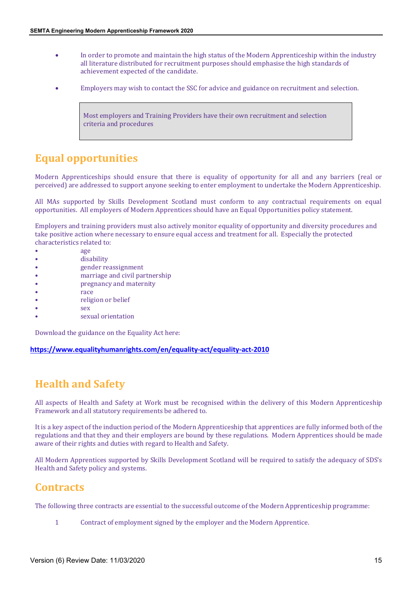- In order to promote and maintain the high status of the Modern Apprenticeship within the industry all literature distributed for recruitment purposes should emphasise the high standards of achievement expected of the candidate.
- Employers may wish to contact the SSC for advice and guidance on recruitment and selection.

Most employers and Training Providers have their own recruitment and selection criteria and procedures

# **Equal opportunities**

Modern Apprenticeships should ensure that there is equality of opportunity for all and any barriers (real or perceived) are addressed to support anyone seeking to enter employment to undertake the Modern Apprenticeship.

All MAs supported by Skills Development Scotland must conform to any contractual requirements on equal opportunities. All employers of Modern Apprentices should have an Equal Opportunities policy statement.

Employers and training providers must also actively monitor equality of opportunity and diversity procedures and take positive action where necessary to ensure equal access and treatment for all. Especially the protected characteristics related to:

- age
- disability
- gender reassignment
- marriage and civil partnership
- pregnancy and maternity
- race
- religion or belief<br>sex
- sex
- sexual orientation

Download the guidance on the Equality Act here:

**<https://www.equalityhumanrights.com/en/equality-act/equality-act-2010>**

## **Health and Safety**

All aspects of Health and Safety at Work must be recognised within the delivery of this Modern Apprenticeship Framework and all statutory requirements be adhered to.

It is a key aspect of the induction period of the Modern Apprenticeship that apprentices are fully informed both of the regulations and that they and their employers are bound by these regulations. Modern Apprentices should be made aware of their rights and duties with regard to Health and Safety.

All Modern Apprentices supported by Skills Development Scotland will be required to satisfy the adequacy of SDS's Health and Safety policy and systems.

## **Contracts**

The following three contracts are essential to the successful outcome of the Modern Apprenticeship programme:

1 Contract of employment signed by the employer and the Modern Apprentice.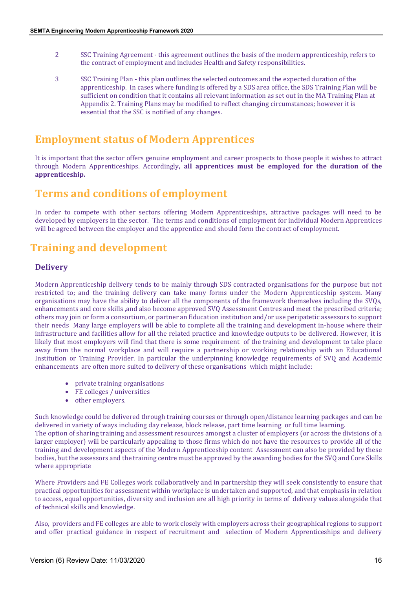- 2 SSC Training Agreement this agreement outlines the basis of the modern apprenticeship, refers to the contract of employment and includes Health and Safety responsibilities.
- 3 SSC Training Plan this plan outlines the selected outcomes and the expected duration of the apprenticeship. In cases where funding is offered by a SDS area office, the SDS Training Plan will be sufficient on condition that it contains all relevant information as set out in the MA Training Plan at Appendix 2. Training Plans may be modified to reflect changing circumstances; however it is essential that the SSC is notified of any changes.

# **Employment status of Modern Apprentices**

It is important that the sector offers genuine employment and career prospects to those people it wishes to attract through Modern Apprenticeships. Accordingly**, all apprentices must be employed for the duration of the apprenticeship.**

## **Terms and conditions of employment**

In order to compete with other sectors offering Modern Apprenticeships, attractive packages will need to be developed by employers in the sector. The terms and conditions of employment for individual Modern Apprentices will be agreed between the employer and the apprentice and should form the contract of employment.

# **Training and development**

### **Delivery**

Modern Apprenticeship delivery tends to be mainly through SDS contracted organisations for the purpose but not restricted to; and the training delivery can take many forms under the Modern Apprenticeship system. Many organisations may have the ability to deliver all the components of the framework themselves including the SVQs, enhancements and core skills ,and also become approved SVQ Assessment Centres and meet the prescribed criteria; others may join or form a consortium, or partner an Education institution and/or use peripatetic assessors to support their needs Many large employers will be able to complete all the training and development in-house where their infrastructure and facilities allow for all the related practice and knowledge outputs to be delivered. However, it is likely that most employers will find that there is some requirement of the training and development to take place away from the normal workplace and will require a partnership or working relationship with an Educational Institution or Training Provider. In particular the underpinning knowledge requirements of SVQ and Academic enhancements are often more suited to delivery of these organisations which might include:

- private training organisations
- FE colleges / universities
- other employers.

Such knowledge could be delivered through training courses or through open/distance learning packages and can be delivered in variety of ways including day release, block release, part time learning or full time learning. The option of sharing training and assessment resources amongst a cluster of employers (or across the divisions of a larger employer) will be particularly appealing to those firms which do not have the resources to provide all of the training and development aspects of the Modern Apprenticeship content Assessment can also be provided by these bodies, but the assessors and the training centre must be approved by the awarding bodies for the SVQ and Core Skills where appropriate

Where Providers and FE Colleges work collaboratively and in partnership they will seek consistently to ensure that practical opportunities for assessment within workplace is undertaken and supported, and that emphasis in relation to access, equal opportunities, diversity and inclusion are all high priority in terms of delivery values alongside that of technical skills and knowledge.

Also, providers and FE colleges are able to work closely with employers across their geographical regions to support and offer practical guidance in respect of recruitment and selection of Modern Apprenticeships and delivery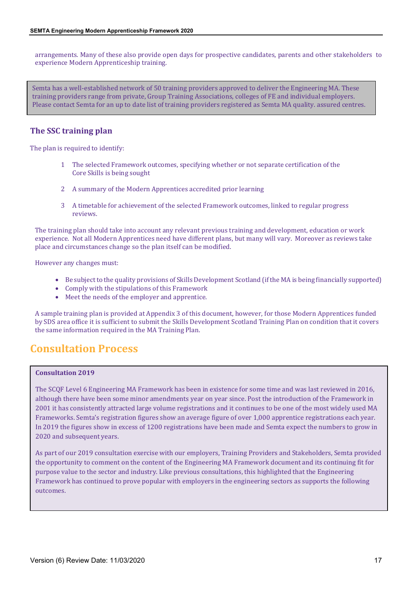arrangements. Many of these also provide open days for prospective candidates, parents and other stakeholders to experience Modern Apprenticeship training.

Semta has a well-established network of 50 training providers approved to deliver the Engineering MA. These training providers range from private, Group Training Associations, colleges of FE and individual employers. Please contact Semta for an up to date list of training providers registered as Semta MA quality. assured centres.

### **The SSC training plan**

The plan is required to identify:

- 1 The selected Framework outcomes, specifying whether or not separate certification of the Core Skills is being sought
- 2 A summary of the Modern Apprentices accredited prior learning
- 3 A timetable for achievement of the selected Framework outcomes, linked to regular progress reviews.

The training plan should take into account any relevant previous training and development, education or work experience. Not all Modern Apprentices need have different plans, but many will vary. Moreover as reviews take place and circumstances change so the plan itself can be modified.

However any changes must:

- Be subject to the quality provisions of Skills Development Scotland (if the MA is being financially supported)
- Comply with the stipulations of this Framework
- Meet the needs of the employer and apprentice.

A sample training plan is provided at Appendix 3 of this document, however, for those Modern Apprentices funded by SDS area office it is sufficient to submit the Skills Development Scotland Training Plan on condition that it covers the same information required in the MA Training Plan.

# **Consultation Process**

#### **Consultation 2019**

The SCQF Level 6 Engineering MA Framework has been in existence for some time and was last reviewed in 2016, although there have been some minor amendments year on year since. Post the introduction of the Framework in 2001 it has consistently attracted large volume registrations and it continues to be one of the most widely used MA Frameworks. Semta's registration figures show an average figure of over 1,000 apprentice registrations each year. In 2019 the figures show in excess of 1200 registrations have been made and Semta expect the numbers to grow in 2020 and subsequent years.

As part of our 2019 consultation exercise with our employers, Training Providers and Stakeholders, Semta provided the opportunity to comment on the content of the Engineering MA Framework document and its continuing fit for purpose value to the sector and industry. Like previous consultations, this highlighted that the Engineering Framework has continued to prove popular with employers in the engineering sectors as supports the following outcomes.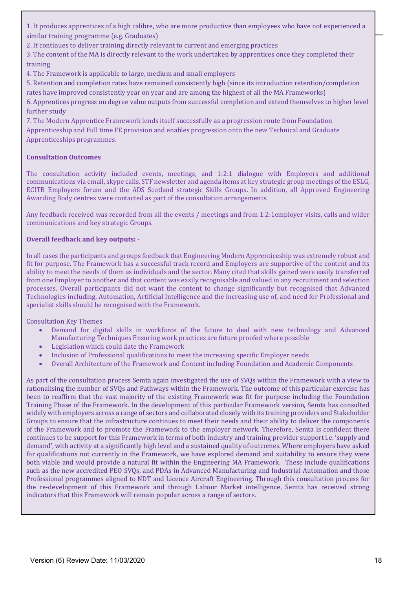similar training programme (e.g. Graduates) 1. It produces apprentices of a high calibre, who are more productive than employees who have not experienced a

2. It continues to deliver training directly relevant to current and emerging practices

3. The content of the MA is directly relevant to the work undertaken by apprentices once they completed their training

4. The Framework is applicable to large, medium and small employers

5. Retention and completion rates have remained consistently high (since its introduction retention/completion rates have improved consistently year on year and are among the highest of all the MA Frameworks)

6. Apprentices progress on degree value outputs from successful completion and extend themselves to higher level further study

7. The Modern Apprentice Framework lends itself successfully as a progression route from Foundation Apprenticeship and Full time FE provision and enables progression onto the new Technical and Graduate Apprenticeships programmes.

#### **Consultation Outcomes**

The consultation activity included events, meetings, and 1:2:1 dialogue with Employers and additional communications via email, skype calls, STF newsletter and agenda items at key strategic group meetings of the ESLG, ECITB Employers forum and the ADS Scotland strategic Skills Groups. In addition, all Approved Engineering Awarding Body centres were contacted as part of the consultation arrangements.

Any feedback received was recorded from all the events / meetings and from 1:2:1employer visits, calls and wider communications and key strategic Groups.

#### **Overall feedback and key outputs: -**

In all cases the participants and groups feedback that Engineering Modern Apprenticeship was extremely robust and fit for purpose. The Framework has a successful track record and Employers are supportive of the content and its ability to meet the needs of them as individuals and the sector. Many cited that skills gained were easily transferred from one Employer to another and that content was easily recognisable and valued in any recruitment and selection processes. Overall participants did not want the content to change significantly but recognised that Advanced Technologies including, Automation, Artificial Intelligence and the increasing use of, and need for Professional and specialist skills should be recognised with the Framework.

Consultation Key Themes

- Demand for digital skills in workforce of the future to deal with new technology and Advanced Manufacturing Techniques Ensuring work practices are future proofed where possible
- Legislation which could date the Framework
- Inclusion of Professional qualifications to meet the increasing specific Employer needs
- Overall Architecture of the Framework and Content including Foundation and Academic Components

As part of the consultation process Semta again investigated the use of SVQs within the Framework with a view to rationalising the number of SVQs and Pathways within the Framework. The outcome of this particular exercise has been to reaffirm that the vast majority of the existing Framework was fit for purpose including the Foundation Training Phase of the Framework. In the development of this particular Framework version, Semta has consulted widely with employers across a range of sectors and collaborated closely with its training providers and Stakeholder Groups to ensure that the infrastructure continues to meet their needs and their ability to deliver the components of the Framework and to promote the Framework to the employer network. Therefore, Semta is confident there continues to be support for this Framework in terms of both industry and training provider support i.e. 'supply and demand', with activity at a significantly high level and a sustained quality of outcomes. Where employers have asked for qualifications not currently in the Framework, we have explored demand and suitability to ensure they were both viable and would provide a natural fit within the Engineering MA Framework. These include qualifications such as the new accredited PEO SVQs, and PDAs in Advanced Manufacturing and Industrial Automation and those Professional programmes aligned to NDT and Licence Aircraft Engineering. Through this consultation process for the re-development of this Framework and through Labour Market intelligence, Semta has received strong indicators that this Framework will remain popular across a range of sectors.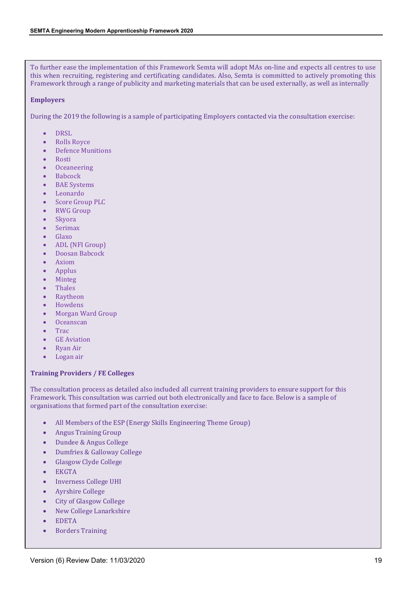To further ease the implementation of this Framework Semta will adopt MAs on-line and expects all centres to use this when recruiting, registering and certificating candidates. Also, Semta is committed to actively promoting this Framework through a range of publicity and marketing materials that can be used externally, as well as internally

#### **Employers**

During the 2019 the following is a sample of participating Employers contacted via the consultation exercise:

- DRSL
- Rolls Royce<br>• Defence Mu
- Defence Munitions
- Rosti
- Oceaneering
- **Babcock**
- BAE Systems<br>• Leonardo
- Leonardo
- Score Group PLC
- RWG Group
- **Skyora**
- Serimax
- Glaxo
- ADL (NFI Group)
- Doosan Babcock
- Axiom
- Applus
- Minteg
- **Thales**
- Raytheon • Howdens
- 
- Morgan Ward Group • Oceanscan
- Trac
- **GE** Aviation
- Ryan Air
- Logan air

#### **Training Providers / FE Colleges**

The consultation process as detailed also included all current training providers to ensure support for this Framework. This consultation was carried out both electronically and face to face. Below is a sample of organisations that formed part of the consultation exercise:

- All Members of the ESP (Energy Skills Engineering Theme Group)
- Angus Training Group
- Dundee & Angus College
- Dumfries & Galloway College
- Glasgow Clyde College
- EKGTA
- Inverness College UHI
- Ayrshire College
- City of Glasgow College
- New College Lanarkshire
- EDETA
- Borders Training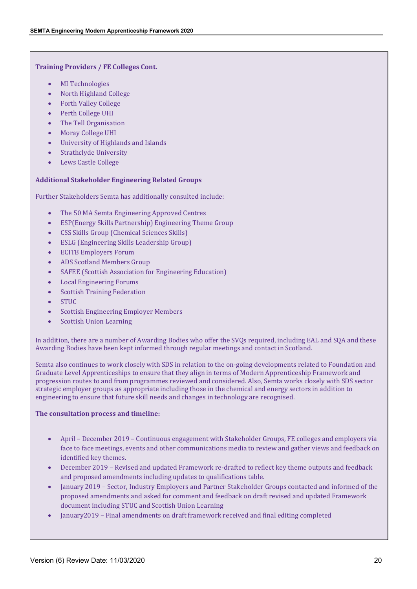#### **Training Providers / FE Colleges Cont.**

- MI Technologies
- North Highland College
- Forth Valley College
- Perth College UHI
- The Tell Organisation
- Moray College UHI
- University of Highlands and Islands
- Strathclyde University
- Lews Castle College

### **Additional Stakeholder Engineering Related Groups**

Further Stakeholders Semta has additionally consulted include:

- The 50 MA Semta Engineering Approved Centres
- ESP(Energy Skills Partnership) Engineering Theme Group
- CSS Skills Group (Chemical Sciences Skills)
- ESLG (Engineering Skills Leadership Group)
- ECITB Employers Forum
- ADS Scotland Members Group
- SAFEE (Scottish Association for Engineering Education)
- Local Engineering Forums
- Scottish Training Federation
- STUC
- Scottish Engineering Employer Members
- Scottish Union Learning

In addition, there are a number of Awarding Bodies who offer the SVQs required, including EAL and SQA and these Awarding Bodies have been kept informed through regular meetings and contact in Scotland.

Semta also continues to work closely with SDS in relation to the on-going developments related to Foundation and Graduate Level Apprenticeships to ensure that they align in terms of Modern Apprenticeship Framework and progression routes to and from programmes reviewed and considered. Also, Semta works closely with SDS sector strategic employer groups as appropriate including those in the chemical and energy sectors in addition to engineering to ensure that future skill needs and changes in technology are recognised.

#### **The consultation process and timeline:**

- April December 2019 Continuous engagement with Stakeholder Groups, FE colleges and employers via face to face meetings, events and other communications media to review and gather views and feedback on identified key themes.
- December 2019 Revised and updated Framework re-drafted to reflect key theme outputs and feedback and proposed amendments including updates to qualifications table.
- January 2019 Sector, Industry Employers and Partner Stakeholder Groups contacted and informed of the proposed amendments and asked for comment and feedback on draft revised and updated Framework document including STUC and Scottish Union Learning
- January2019 Final amendments on draft framework received and final editing completed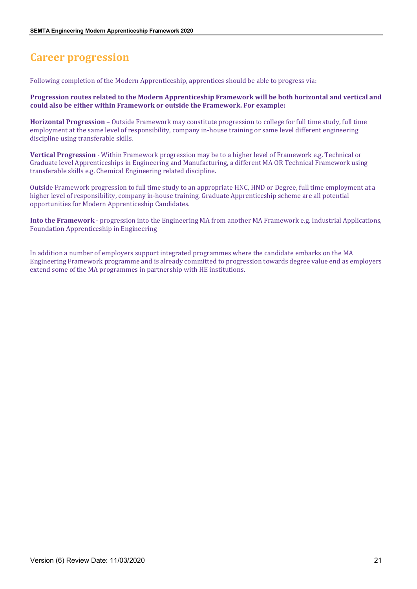# **Career progression**

Following completion of the Modern Apprenticeship, apprentices should be able to progress via:

**Progression routes related to the Modern Apprenticeship Framework will be both horizontal and vertical and could also be either within Framework or outside the Framework. For example:**

**Horizontal Progression** – Outside Framework may constitute progression to college for full time study, full time employment at the same level of responsibility, company in-house training or same level different engineering discipline using transferable skills.

**Vertical Progression** - Within Framework progression may be to a higher level of Framework e.g. Technical or Graduate level Apprenticeships in Engineering and Manufacturing, a different MA OR Technical Framework using transferable skills e.g. Chemical Engineering related discipline.

Outside Framework progression to full time study to an appropriate HNC, HND or Degree, full time employment at a higher level of responsibility, company in-house training, Graduate Apprenticeship scheme are all potential opportunities for Modern Apprenticeship Candidates.

**Into the Framework** - progression into the Engineering MA from another MA Framework e.g. Industrial Applications, Foundation Apprenticeship in Engineering

In addition a number of employers support integrated programmes where the candidate embarks on the MA Engineering Framework programme and is already committed to progression towards degree value end as employers extend some of the MA programmes in partnership with HE institutions.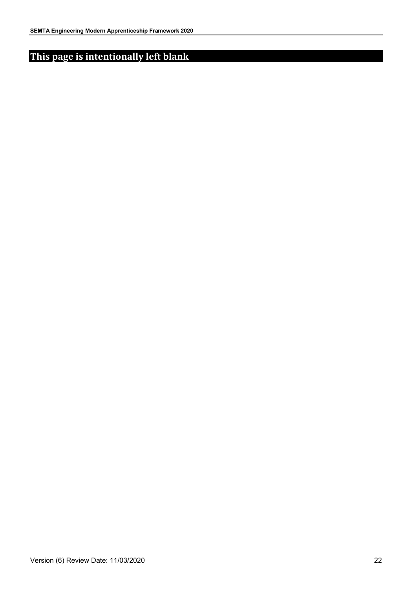# **This page is intentionally left blank**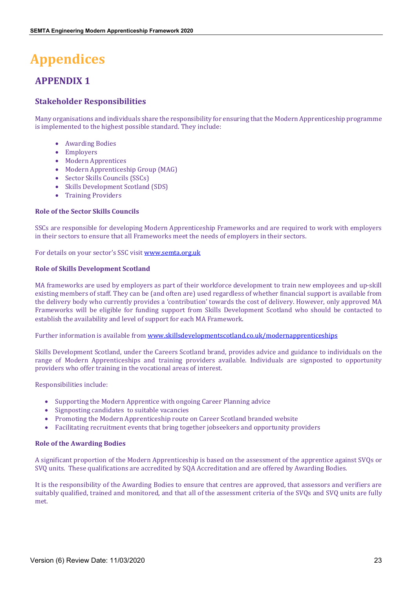# **Appendices**

## **APPENDIX 1**

### **Stakeholder Responsibilities**

Many organisations and individuals share the responsibility for ensuring that the Modern Apprenticeship programme is implemented to the highest possible standard. They include:

- Awarding Bodies
- Employers
- Modern Apprentices
- Modern Apprenticeship Group (MAG)
- Sector Skills Councils (SSCs)
- Skills Development Scotland (SDS)
- Training Providers

#### **Role of the Sector Skills Councils**

SSCs are responsible for developing Modern Apprenticeship Frameworks and are required to work with employers in their sectors to ensure that all Frameworks meet the needs of employers in their sectors.

For details on your sector's SSC visi[t www.semta.org.uk](http://www.semta.org.uk/)

#### **Role of Skills Development Scotland**

MA frameworks are used by employers as part of their workforce development to train new employees and up-skill existing members of staff. They can be (and often are) used regardless of whether financial support is available from the delivery body who currently provides a 'contribution' towards the cost of delivery. However, only approved MA Frameworks will be eligible for funding support from Skills Development Scotland who should be contacted to establish the availability and level of support for each MA Framework.

Further information is available from [www.skillsdevelopmentscotland.co.uk/modernapprenticeships](http://www.skillsdevelopmentscotland.co.uk/modernapprenticeships)

Skills Development Scotland, under the Careers Scotland brand, provides advice and guidance to individuals on the range of Modern Apprenticeships and training providers available. Individuals are signposted to opportunity providers who offer training in the vocational areas of interest.

Responsibilities include:

- Supporting the Modern Apprentice with ongoing Career Planning advice
- Signposting candidates to suitable vacancies
- Promoting the Modern Apprenticeship route on Career Scotland branded website
- Facilitating recruitment events that bring together jobseekers and opportunity providers

#### **Role of the Awarding Bodies**

A significant proportion of the Modern Apprenticeship is based on the assessment of the apprentice against SVQs or SVQ units. These qualifications are accredited by SQA Accreditation and are offered by Awarding Bodies.

It is the responsibility of the Awarding Bodies to ensure that centres are approved, that assessors and verifiers are suitably qualified, trained and monitored, and that all of the assessment criteria of the SVQs and SVQ units are fully met.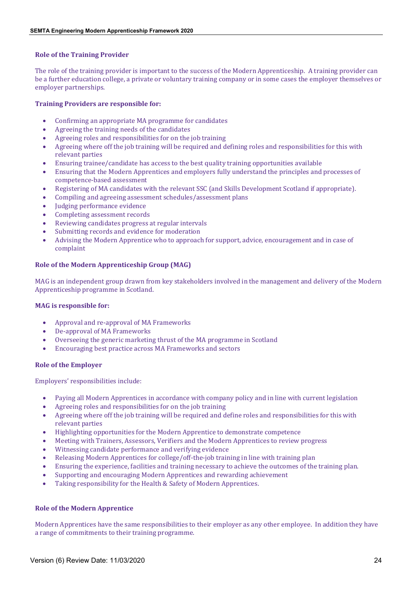#### **Role of the Training Provider**

The role of the training provider is important to the success of the Modern Apprenticeship. A training provider can be a further education college, a private or voluntary training company or in some cases the employer themselves or employer partnerships.

#### **Training Providers are responsible for:**

- Confirming an appropriate MA programme for candidates
- Agreeing the training needs of the candidates
- Agreeing roles and responsibilities for on the job training
- Agreeing where off the job training will be required and defining roles and responsibilities for this with relevant parties
- Ensuring trainee/candidate has access to the best quality training opportunities available
- Ensuring that the Modern Apprentices and employers fully understand the principles and processes of competence-based assessment
- Registering of MA candidates with the relevant SSC (and Skills Development Scotland if appropriate).
- Compiling and agreeing assessment schedules/assessment plans
- Judging performance evidence
- Completing assessment records
- Reviewing candidates progress at regular intervals
- Submitting records and evidence for moderation
- Advising the Modern Apprentice who to approach for support, advice, encouragement and in case of complaint

#### **Role of the Modern Apprenticeship Group (MAG)**

MAG is an independent group drawn from key stakeholders involved in the management and delivery of the Modern Apprenticeship programme in Scotland.

#### **MAG is responsible for:**

- Approval and re-approval of MA Frameworks
- De-approval of MA Frameworks
- Overseeing the generic marketing thrust of the MA programme in Scotland
- Encouraging best practice across MA Frameworks and sectors

#### **Role of the Employer**

Employers' responsibilities include:

- Paying all Modern Apprentices in accordance with company policy and in line with current legislation
- Agreeing roles and responsibilities for on the job training
- Agreeing where off the job training will be required and define roles and responsibilities for this with relevant parties
- Highlighting opportunities for the Modern Apprentice to demonstrate competence
- Meeting with Trainers, Assessors, Verifiers and the Modern Apprentices to review progress
- Witnessing candidate performance and verifying evidence
- Releasing Modern Apprentices for college/off-the-job training in line with training plan
- Ensuring the experience, facilities and training necessary to achieve the outcomes of the training plan.
- Supporting and encouraging Modern Apprentices and rewarding achievement
- Taking responsibility for the Health & Safety of Modern Apprentices.

#### **Role of the Modern Apprentice**

Modern Apprentices have the same responsibilities to their employer as any other employee. In addition they have a range of commitments to their training programme.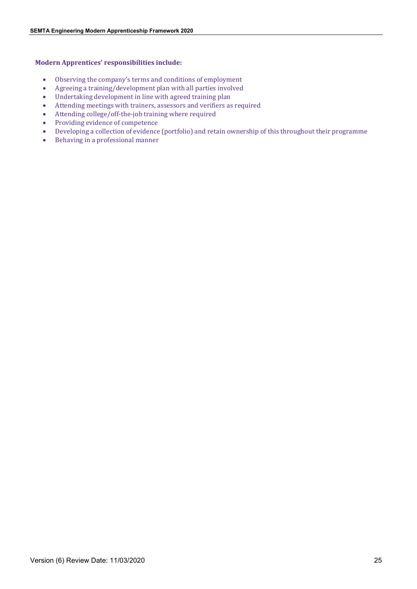#### **Modern Apprentices' responsibilities include:**

- Observing the company's terms and conditions of employment<br>• Agreeing a training/development plan with all parties involved
- Agreeing a training/development plan with all parties involved<br>• Undertaking development in line with agreed training plan
- Undertaking development in line with agreed training plan<br>• Attending meetings with trainers, assessors and verifiers as
- Attending meetings with trainers, assessors and verifiers as required<br>• Attending college/off-the-iob training where required
- Attending college/off-the-job training where required<br>• Providing evidence of competence
- Providing evidence of competence<br>• Developing a collection of evidence
- Developing a collection of evidence (portfolio) and retain ownership of this throughout their programme
- Behaving in a professional manner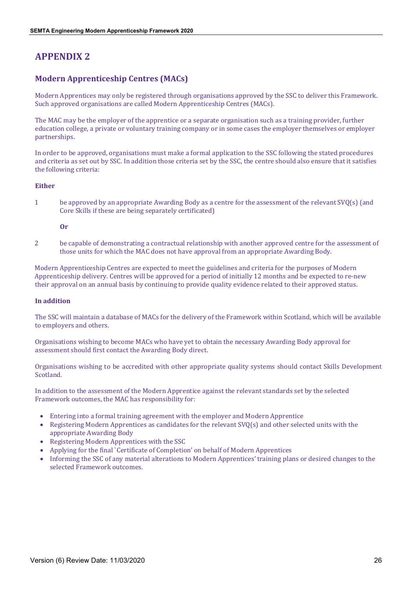## **APPENDIX 2**

## **Modern Apprenticeship Centres (MACs)**

Modern Apprentices may only be registered through organisations approved by the SSC to deliver this Framework. Such approved organisations are called Modern Apprenticeship Centres (MACs).

The MAC may be the employer of the apprentice or a separate organisation such as a training provider, further education college, a private or voluntary training company or in some cases the employer themselves or employer partnerships.

In order to be approved, organisations must make a formal application to the SSC following the stated procedures and criteria as set out by SSC. In addition those criteria set by the SSC, the centre should also ensure that it satisfies the following criteria:

#### **Either**

1 be approved by an appropriate Awarding Body as a centre for the assessment of the relevant SVQ(s) (and Core Skills if these are being separately certificated)

#### **Or**

2 be capable of demonstrating a contractual relationship with another approved centre for the assessment of those units for which the MAC does not have approval from an appropriate Awarding Body.

Modern Apprenticeship Centres are expected to meet the guidelines and criteria for the purposes of Modern Apprenticeship delivery. Centres will be approved for a period of initially 12 months and be expected to re-new their approval on an annual basis by continuing to provide quality evidence related to their approved status.

#### **In addition**

The SSC will maintain a database of MACs for the delivery of the Framework within Scotland, which will be available to employers and others.

Organisations wishing to become MACs who have yet to obtain the necessary Awarding Body approval for assessment should first contact the Awarding Body direct.

Organisations wishing to be accredited with other appropriate quality systems should contact Skills Development Scotland.

In addition to the assessment of the Modern Apprentice against the relevant standards set by the selected Framework outcomes, the MAC has responsibility for:

- Entering into a formal training agreement with the employer and Modern Apprentice
- Registering Modern Apprentices as candidates for the relevant SVQ(s) and other selected units with the appropriate Awarding Body
- Registering Modern Apprentices with the SSC
- Applying for the final `Certificate of Completion' on behalf of Modern Apprentices
- Informing the SSC of any material alterations to Modern Apprentices' training plans or desired changes to the selected Framework outcomes.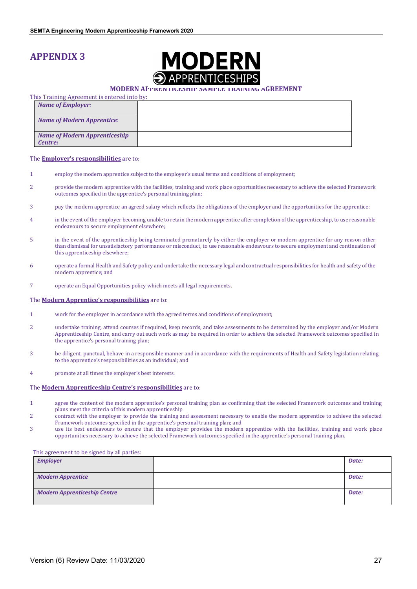## **APPENDIX 3**



#### **MODERN APPRENTICESHIP SAMPLE TRAINING AGREEMENT**

| This Training Agreement is entered into by: |
|---------------------------------------------|
|                                             |
|                                             |
|                                             |
|                                             |
|                                             |
|                                             |

#### The **Employer's responsibilities** are to:

- 1 employ the modern apprentice subject to the employer's usual terms and conditions of employment;
- 2 provide the modern apprentice with the facilities, training and work place opportunities necessary to achieve the selected Framework outcomes specified in the apprentice's personal training plan;
- 3 pay the modern apprentice an agreed salary which reflects the obligations of the employer and the opportunities for the apprentice;
- 4 in the event of the employer becoming unable to retain the modern apprentice after completion of the apprenticeship, to use reasonable endeavours to secure employment elsewhere;
- 5 in the event of the apprenticeship being terminated prematurely by either the employer or modern apprentice for any reason other than dismissal for unsatisfactory performance or misconduct, to use reasonable endeavours to secure employment and continuation of this apprenticeship elsewhere;
- 6 operate a formal Health and Safety policy and undertake the necessary legal and contractual responsibilities for health and safety of the modern apprentice; and
- 7 operate an Equal Opportunities policy which meets all legal requirements.

#### The **Modern Apprentice's responsibilities** are to:

- 1 work for the employer in accordance with the agreed terms and conditions of employment;
- 2 undertake training, attend courses if required, keep records, and take assessments to be determined by the employer and/or Modern Apprenticeship Centre, and carry out such work as may be required in order to achieve the selected Framework outcomes specified in the apprentice's personal training plan;
- 3 be diligent, punctual, behave in a responsible manner and in accordance with the requirements of Health and Safety legislation relating to the apprentice's responsibilities as an individual; and
- 4 promote at all times the employer's best interests.

#### The **Modern Apprenticeship Centre's responsibilities** are to:

- 1 agree the content of the modern apprentice's personal training plan as confirming that the selected Framework outcomes and training plans meet the criteria of this modern apprenticeship
- 2 contract with the employer to provide the training and assessment necessary to enable the modern apprentice to achieve the selected Framework outcomes specified in the apprentice's personal training plan; and
- 3 use its best endeavours to ensure that the employer provides the modern apprentice with the facilities, training and work place opportunities necessary to achieve the selected Framework outcomes specified in the apprentice's personal training plan.

This agreement to be signed by all parties:

| <b>Employer</b>                     | Date: |
|-------------------------------------|-------|
| <b>Modern Apprentice</b>            | Date: |
| <b>Modern Apprenticeship Centre</b> | Date: |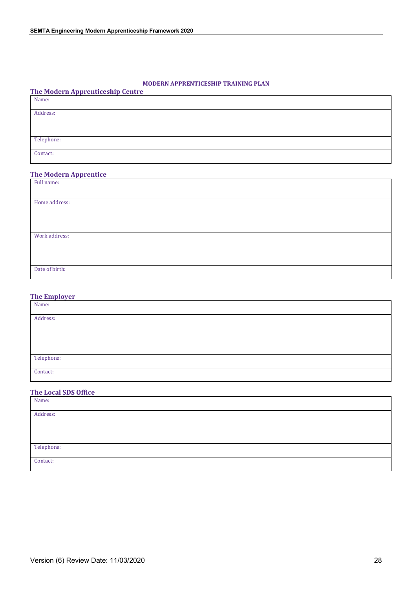#### **MODERN APPRENTICESHIP TRAINING PLAN**

#### **The Modern Apprenticeship Centre**

| Name:      |  |
|------------|--|
| Address:   |  |
|            |  |
| Telephone: |  |
| Contact:   |  |

#### **The Modern Apprentice**

| Full name:     |
|----------------|
|                |
|                |
| Home address:  |
|                |
|                |
|                |
|                |
| Work address:  |
|                |
|                |
|                |
|                |
|                |
|                |
|                |
| Date of birth: |

#### **The Employer**

| Name:      |  |
|------------|--|
| Address:   |  |
|            |  |
|            |  |
|            |  |
| Telephone: |  |
| Contact:   |  |

## **The Local SDS Office**

| Name:      |  |
|------------|--|
| Address:   |  |
|            |  |
|            |  |
| Telephone: |  |
| Contact:   |  |

٦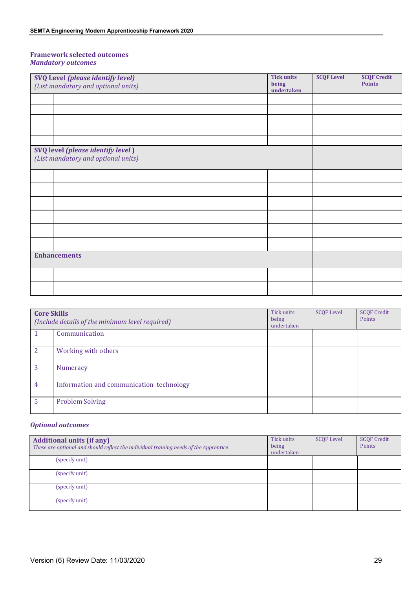#### **Framework selected outcomes** *Mandatory outcomes*

| <b>SVQ Level (please identify level)</b><br>(List mandatory and optional units) | <b>Tick units</b><br>being<br>undertaken | <b>SCQF Level</b> | <b>SCQF Credit</b><br><b>Points</b> |
|---------------------------------------------------------------------------------|------------------------------------------|-------------------|-------------------------------------|
|                                                                                 |                                          |                   |                                     |
|                                                                                 |                                          |                   |                                     |
|                                                                                 |                                          |                   |                                     |
|                                                                                 |                                          |                   |                                     |
|                                                                                 |                                          |                   |                                     |
| <b>SVQ level (please identify level)</b><br>(List mandatory and optional units) |                                          |                   |                                     |
|                                                                                 |                                          |                   |                                     |
|                                                                                 |                                          |                   |                                     |
|                                                                                 |                                          |                   |                                     |
|                                                                                 |                                          |                   |                                     |
|                                                                                 |                                          |                   |                                     |
|                                                                                 |                                          |                   |                                     |
| <b>Enhancements</b>                                                             |                                          |                   |                                     |
|                                                                                 |                                          |                   |                                     |
|                                                                                 |                                          |                   |                                     |

| <b>Core Skills</b><br>(Include details of the minimum level required) |                                          | Tick units<br>being<br>undertaken | <b>SCQF Level</b> | <b>SCQF Credit</b><br>Points |
|-----------------------------------------------------------------------|------------------------------------------|-----------------------------------|-------------------|------------------------------|
|                                                                       | Communication                            |                                   |                   |                              |
| 2                                                                     | Working with others                      |                                   |                   |                              |
| 3                                                                     | <b>Numeracy</b>                          |                                   |                   |                              |
| 4                                                                     | Information and communication technology |                                   |                   |                              |
| 5                                                                     | <b>Problem Solving</b>                   |                                   |                   |                              |

### *Optional outcomes*

| Tick units<br><b>Additional units (if any)</b><br>being<br>These are optional and should reflect the individual training needs of the Apprentice<br>undertaken |  | <b>SCQF Level</b> | <b>SCQF Credit</b><br>Points |
|----------------------------------------------------------------------------------------------------------------------------------------------------------------|--|-------------------|------------------------------|
| (specify unit)                                                                                                                                                 |  |                   |                              |
| (specify unit)                                                                                                                                                 |  |                   |                              |
| (specify unit)                                                                                                                                                 |  |                   |                              |
| (specify unit)                                                                                                                                                 |  |                   |                              |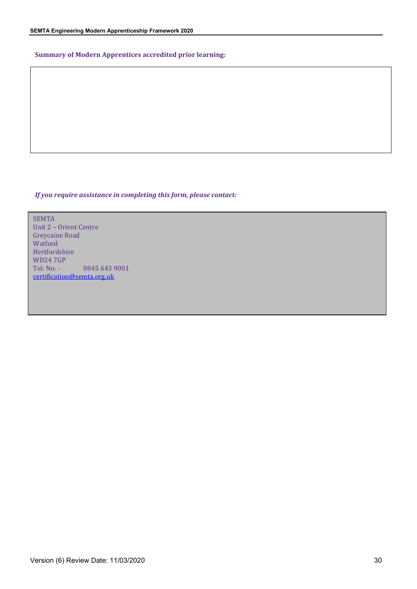**Summary of Modern Apprentices accredited prior learning:**

*If you require assistance in completing this form, please contact:*

SEMTA Unit 2 – Orient Centre Greycaine Road **Watford** Hertfordshire WD24 7GP<br>Tel: No: -0845 643 9001 [certification@semta.org.uk](mailto:certification@semta.org.uk)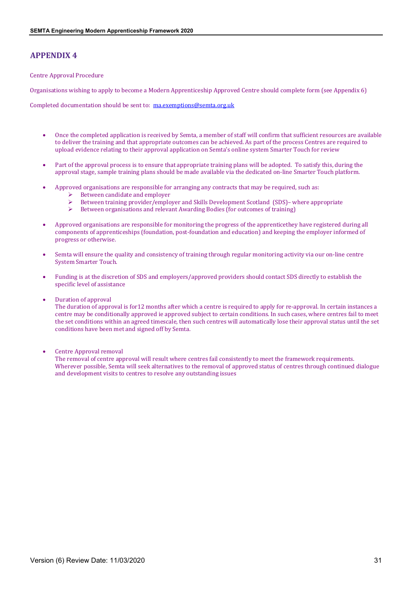## **APPENDIX 4**

Centre Approval Procedure

Organisations wishing to apply to become a Modern Apprenticeship Approved Centre should complete form (see Appendix 6)

Completed documentation should be sent to: [ma.exemptions@semta.org.uk](mailto:ma.exemptions@semta.org.uk)

- Once the completed application is received by Semta, a member of staff will confirm that sufficient resources are available to deliver the training and that appropriate outcomes can be achieved. As part of the process Centres are required to upload evidence relating to their approval application on Semta's online system Smarter Touch for review
- Part of the approval process is to ensure that appropriate training plans will be adopted. To satisfy this, during the approval stage, sample training plans should be made available via the dedicated on-line Smarter Touch platform.
- Approved organisations are responsible for arranging any contracts that may be required, such as:
	- $\triangleright$  Between candidate and employer<br> $\triangleright$  Between training provider/emplo
	- $\triangleright$  Between training provider/employer and Skills Development Scotland (SDS)– where appropriate  $\triangleright$  Between organisations and relevant Awarding Bodies (for outcomes of training)
	- Between organisations and relevant Awarding Bodies (for outcomes of training)
- Approved organisations are responsible for monitoring the progress of the apprenticethey have registered during all components of apprenticeships (foundation, post-foundation and education) and keeping the employer informed of progress or otherwise.
- Semta will ensure the quality and consistency of training through regular monitoring activity via our on-line centre System Smarter Touch.
- Funding is at the discretion of SDS and employers/approved providers should contact SDS directly to establish the specific level of assistance
- Duration of approval

The duration of approval is for12 months after which a centre is required to apply for re-approval. In certain instances a centre may be conditionally approved ie approved subject to certain conditions. In such cases, where centres fail to meet the set conditions within an agreed timescale, then such centres will automatically lose their approval status until the set conditions have been met and signed off by Semta.

• Centre Approval removal

The removal of centre approval will result where centres fail consistently to meet the framework requirements. Wherever possible, Semta will seek alternatives to the removal of approved status of centres through continued dialogue and development visits to centres to resolve any outstanding issues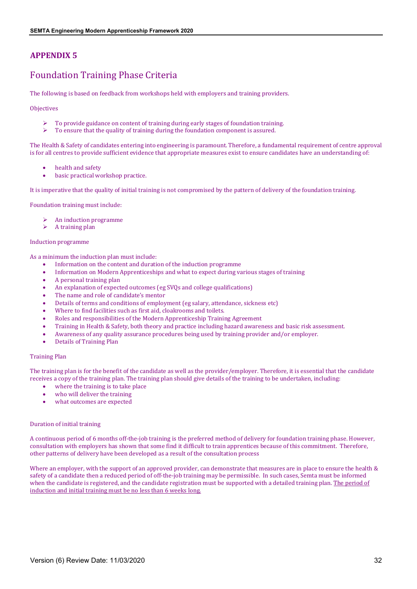## **APPENDIX 5**

# Foundation Training Phase Criteria

The following is based on feedback from workshops held with employers and training providers.

**Objectives** 

- To provide guidance on content of training during early stages of foundation training.
- To ensure that the quality of training during the foundation component is assured.

The Health & Safety of candidates entering into engineering is paramount. Therefore, a fundamental requirement of centre approval is for all centres to provide sufficient evidence that appropriate measures exist to ensure candidates have an understanding of:

- health and safety
- basic practical workshop practice.

It is imperative that the quality of initial training is not compromised by the pattern of delivery of the foundation training.

Foundation training must include:

- An induction programme
- A training plan

#### Induction programme

As a minimum the induction plan must include:

- Information on the content and duration of the induction programme
- Information on Modern Apprenticeships and what to expect during various stages of training
- A personal training plan
- An explanation of expected outcomes (eg SVQs and college qualifications)
- The name and role of candidate's mentor
- Details of terms and conditions of employment (eg salary, attendance, sickness etc)
- Where to find facilities such as first aid, cloakrooms and toilets.
- Roles and responsibilities of the Modern Apprenticeship Training Agreement
- Training in Health & Safety, both theory and practice including hazard awareness and basic risk assessment.
- Awareness of any quality assurance procedures being used by training provider and/or employer.
- Details of Training Plan

#### Training Plan

The training plan is for the benefit of the candidate as well as the provider/employer. Therefore, it is essential that the candidate receives a copy of the training plan. The training plan should give details of the training to be undertaken, including:

- where the training is to take place
- who will deliver the training
- what outcomes are expected

#### Duration of initial training

A continuous period of 6 months off-the-job training is the preferred method of delivery for foundation training phase. However, consultation with employers has shown that some find it difficult to train apprentices because of this commitment. Therefore, other patterns of delivery have been developed as a result of the consultation process

Where an employer, with the support of an approved provider, can demonstrate that measures are in place to ensure the health & safety of a candidate then a reduced period of off-the-job training may be permissible. In such cases, Semta must be informed when the candidate is registered, and the candidate registration must be supported with a detailed training plan. The period of induction and initial training must be no less than 6 weeks long.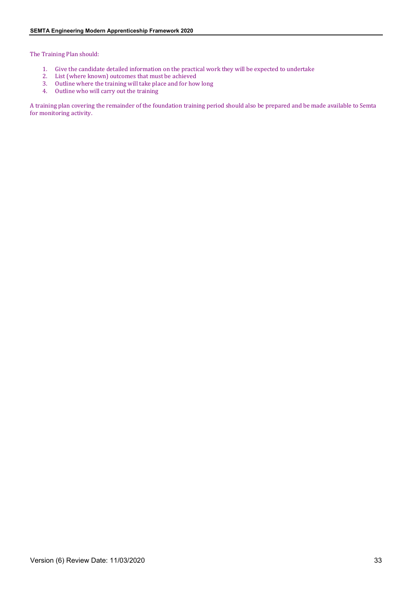The Training Plan should:

- 1. Give the candidate detailed information on the practical work they will be expected to undertake
- 2. List (where known) outcomes that must be achieved
- 3. Outline where the training will take place and for how long
- 4. Outline who will carry out the training

A training plan covering the remainder of the foundation training period should also be prepared and be made available to Semta for monitoring activity.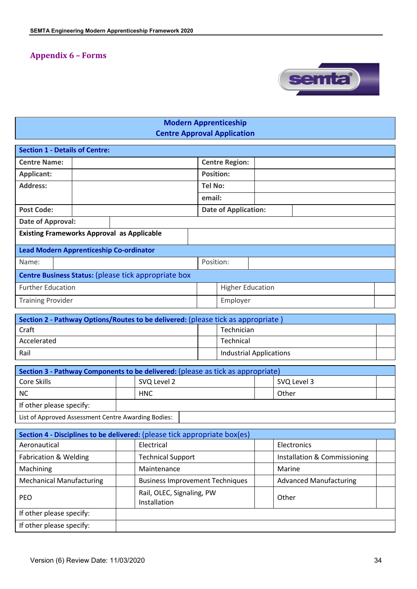## **Appendix 6 – Forms**



## **Modern Apprenticeship Centre Approval Application**

| <b>Section 1 - Details of Centre:</b>                |  |  |                  |                             |  |  |  |  |
|------------------------------------------------------|--|--|------------------|-----------------------------|--|--|--|--|
| <b>Centre Name:</b>                                  |  |  |                  | <b>Centre Region:</b>       |  |  |  |  |
| <b>Applicant:</b>                                    |  |  | <b>Position:</b> |                             |  |  |  |  |
| <b>Address:</b>                                      |  |  | <b>Tel No:</b>   |                             |  |  |  |  |
|                                                      |  |  | email:           |                             |  |  |  |  |
| <b>Post Code:</b>                                    |  |  |                  | <b>Date of Application:</b> |  |  |  |  |
| <b>Date of Approval:</b>                             |  |  |                  |                             |  |  |  |  |
| <b>Existing Frameworks Approval as Applicable</b>    |  |  |                  |                             |  |  |  |  |
| Lead Modern Apprenticeship Co-ordinator              |  |  |                  |                             |  |  |  |  |
| Name:                                                |  |  | Position:        |                             |  |  |  |  |
| Centre Business Status: (please tick appropriate box |  |  |                  |                             |  |  |  |  |
| <b>Further Education</b>                             |  |  |                  | <b>Higher Education</b>     |  |  |  |  |
| <b>Training Provider</b>                             |  |  |                  | Employer                    |  |  |  |  |

| Section 2 - Pathway Options/Routes to be delivered: (please tick as appropriate) |           |  |  |  |
|----------------------------------------------------------------------------------|-----------|--|--|--|
| Craft<br>Technician                                                              |           |  |  |  |
| Accelerated                                                                      | Technical |  |  |  |
| Rail<br><b>Industrial Applications</b>                                           |           |  |  |  |

| <b>Section 3 - Pathway Components to be delivered:</b> (please as tick as appropriate) |             |  |  |             |  |
|----------------------------------------------------------------------------------------|-------------|--|--|-------------|--|
| Core Skills                                                                            | SVQ Level 2 |  |  | SVQ Level 3 |  |
| <b>NC</b>                                                                              | HNC         |  |  | Other       |  |
| If other please specify:                                                               |             |  |  |             |  |
| List of Approved Assessment Centre Awarding Bodies:                                    |             |  |  |             |  |

| Section 4 - Disciplines to be delivered: (please tick appropriate box(es) |                                           |                               |  |  |  |
|---------------------------------------------------------------------------|-------------------------------------------|-------------------------------|--|--|--|
| Aeronautical                                                              | Electrical                                | Electronics                   |  |  |  |
| <b>Fabrication &amp; Welding</b>                                          | <b>Technical Support</b>                  | Installation & Commissioning  |  |  |  |
| Machining                                                                 | Maintenance                               | Marine                        |  |  |  |
| <b>Mechanical Manufacturing</b>                                           | <b>Business Improvement Techniques</b>    | <b>Advanced Manufacturing</b> |  |  |  |
| <b>PEO</b>                                                                | Rail, OLEC, Signaling, PW<br>Installation | Other                         |  |  |  |
| If other please specify:                                                  |                                           |                               |  |  |  |
| If other please specify:                                                  |                                           |                               |  |  |  |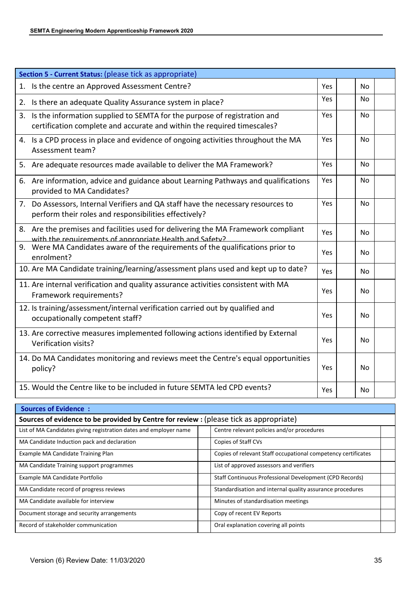| Section 5 - Current Status: (please tick as appropriate)                                                                                               |                                                                                    |     |           |  |
|--------------------------------------------------------------------------------------------------------------------------------------------------------|------------------------------------------------------------------------------------|-----|-----------|--|
| 1. Is the centre an Approved Assessment Centre?                                                                                                        |                                                                                    | Yes | No        |  |
| 2. Is there an adequate Quality Assurance system in place?                                                                                             |                                                                                    | Yes | Nο        |  |
| 3. Is the information supplied to SEMTA for the purpose of registration and<br>certification complete and accurate and within the required timescales? |                                                                                    | Yes | <b>No</b> |  |
| Assessment team?                                                                                                                                       | 4. Is a CPD process in place and evidence of ongoing activities throughout the MA  | Yes | <b>No</b> |  |
| 5. Are adequate resources made available to deliver the MA Framework?                                                                                  |                                                                                    | Yes | <b>No</b> |  |
| provided to MA Candidates?                                                                                                                             | 6. Are information, advice and guidance about Learning Pathways and qualifications | Yes | <b>No</b> |  |
| 7. Do Assessors, Internal Verifiers and QA staff have the necessary resources to<br>perform their roles and responsibilities effectively?              |                                                                                    | Yes | <b>No</b> |  |
| with the requirements of annropriate Health and Safety?                                                                                                | 8. Are the premises and facilities used for delivering the MA Framework compliant  | Yes | <b>No</b> |  |
| 9. Were MA Candidates aware of the requirements of the qualifications prior to<br>enrolment?                                                           |                                                                                    | Yes | No        |  |
|                                                                                                                                                        | 10. Are MA Candidate training/learning/assessment plans used and kept up to date?  | Yes | No.       |  |
| 11. Are internal verification and quality assurance activities consistent with MA<br>Framework requirements?                                           |                                                                                    | Yes | No.       |  |
| 12. Is training/assessment/internal verification carried out by qualified and<br>occupationally competent staff?                                       |                                                                                    | Yes | <b>No</b> |  |
| 13. Are corrective measures implemented following actions identified by External<br>Verification visits?                                               |                                                                                    | Yes | <b>No</b> |  |
| policy?                                                                                                                                                | 14. Do MA Candidates monitoring and reviews meet the Centre's equal opportunities  | Yes | No        |  |
| 15. Would the Centre like to be included in future SEMTA led CPD events?                                                                               |                                                                                    | Yes | No        |  |

| <b>Sources of Evidence:</b>                                                            |                                                               |  |  |  |  |
|----------------------------------------------------------------------------------------|---------------------------------------------------------------|--|--|--|--|
| Sources of evidence to be provided by Centre for review : (please tick as appropriate) |                                                               |  |  |  |  |
| List of MA Candidates giving registration dates and employer name                      | Centre relevant policies and/or procedures                    |  |  |  |  |
| MA Candidate Induction pack and declaration                                            | Copies of Staff CVs                                           |  |  |  |  |
| Example MA Candidate Training Plan                                                     | Copies of relevant Staff occupational competency certificates |  |  |  |  |
| MA Candidate Training support programmes                                               | List of approved assessors and verifiers                      |  |  |  |  |
| Example MA Candidate Portfolio                                                         | Staff Continuous Professional Development (CPD Records)       |  |  |  |  |
| MA Candidate record of progress reviews                                                | Standardisation and internal quality assurance procedures     |  |  |  |  |
| MA Candidate available for interview                                                   | Minutes of standardisation meetings                           |  |  |  |  |
| Document storage and security arrangements                                             | Copy of recent EV Reports                                     |  |  |  |  |
| Record of stakeholder communication                                                    | Oral explanation covering all points                          |  |  |  |  |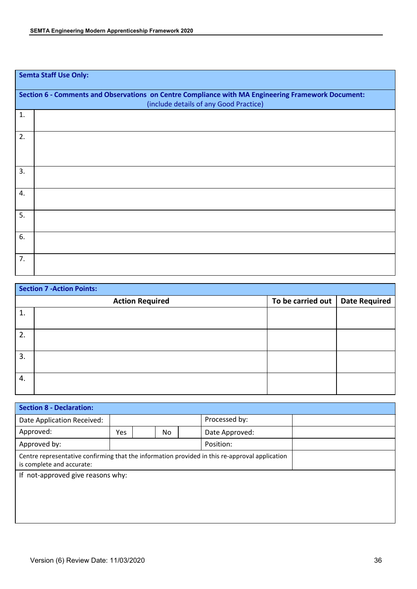| <b>Semta Staff Use Only:</b>                                                                                                                 |  |  |  |  |  |  |  |  |
|----------------------------------------------------------------------------------------------------------------------------------------------|--|--|--|--|--|--|--|--|
| Section 6 - Comments and Observations on Centre Compliance with MA Engineering Framework Document:<br>(include details of any Good Practice) |  |  |  |  |  |  |  |  |
| 1.                                                                                                                                           |  |  |  |  |  |  |  |  |
| 2.                                                                                                                                           |  |  |  |  |  |  |  |  |
| 3.                                                                                                                                           |  |  |  |  |  |  |  |  |
| 4.                                                                                                                                           |  |  |  |  |  |  |  |  |
| 5.                                                                                                                                           |  |  |  |  |  |  |  |  |
| 6.                                                                                                                                           |  |  |  |  |  |  |  |  |
| 7.                                                                                                                                           |  |  |  |  |  |  |  |  |

| <b>Section 7 - Action Points:</b> |                        |                           |                      |  |  |  |  |  |  |
|-----------------------------------|------------------------|---------------------------|----------------------|--|--|--|--|--|--|
|                                   | <b>Action Required</b> | To be carried out $\vert$ | <b>Date Required</b> |  |  |  |  |  |  |
| 1.                                |                        |                           |                      |  |  |  |  |  |  |
| 2.                                |                        |                           |                      |  |  |  |  |  |  |
| 3.                                |                        |                           |                      |  |  |  |  |  |  |
| 4.                                |                        |                           |                      |  |  |  |  |  |  |

| <b>Section 8 - Declaration:</b>                                                                                             |     |  |    |  |                |  |  |  |  |  |
|-----------------------------------------------------------------------------------------------------------------------------|-----|--|----|--|----------------|--|--|--|--|--|
| Date Application Received:                                                                                                  |     |  |    |  | Processed by:  |  |  |  |  |  |
| Approved:                                                                                                                   | Yes |  | No |  | Date Approved: |  |  |  |  |  |
| Approved by:                                                                                                                |     |  |    |  | Position:      |  |  |  |  |  |
| Centre representative confirming that the information provided in this re-approval application<br>is complete and accurate: |     |  |    |  |                |  |  |  |  |  |
| If not-approved give reasons why:                                                                                           |     |  |    |  |                |  |  |  |  |  |